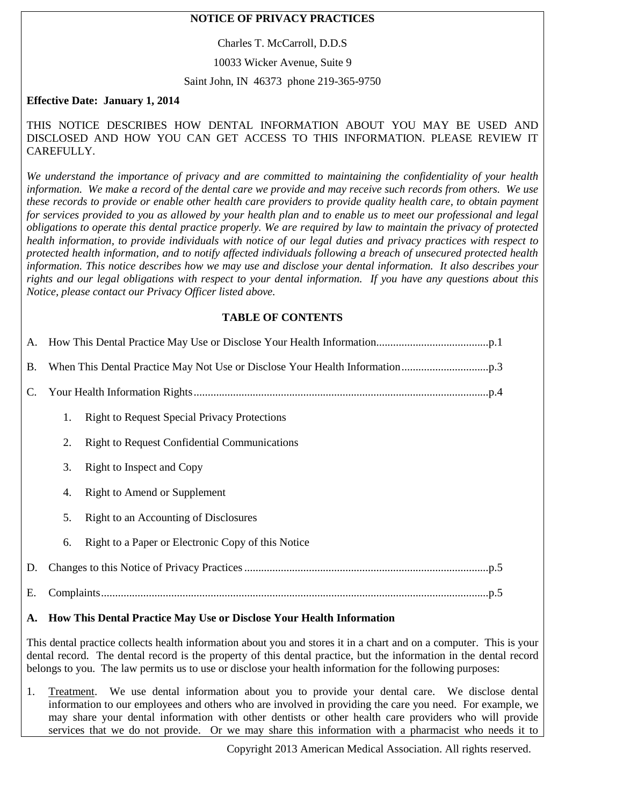### **NOTICE OF PRIVACY PRACTICES**

Charles T. McCarroll, D.D.S

10033 Wicker Avenue, Suite 9

#### Saint John, IN 46373 phone 219-365-9750

### **Effective Date: January 1, 2014**

THIS NOTICE DESCRIBES HOW DENTAL INFORMATION ABOUT YOU MAY BE USED AND DISCLOSED AND HOW YOU CAN GET ACCESS TO THIS INFORMATION. PLEASE REVIEW IT CAREFULLY.

*We understand the importance of privacy and are committed to maintaining the confidentiality of your health information. We make a record of the dental care we provide and may receive such records from others. We use these records to provide or enable other health care providers to provide quality health care, to obtain payment for services provided to you as allowed by your health plan and to enable us to meet our professional and legal obligations to operate this dental practice properly. We are required by law to maintain the privacy of protected health information, to provide individuals with notice of our legal duties and privacy practices with respect to protected health information, and to notify affected individuals following a breach of unsecured protected health information. This notice describes how we may use and disclose your dental information. It also describes your rights and our legal obligations with respect to your dental information. If you have any questions about this Notice, please contact our Privacy Officer listed above.*

#### **TABLE OF CONTENTS**

| <b>B.</b> |    |                                                     |
|-----------|----|-----------------------------------------------------|
| C.        |    |                                                     |
|           | 1. | <b>Right to Request Special Privacy Protections</b> |
|           | 2. | <b>Right to Request Confidential Communications</b> |
|           | 3. | Right to Inspect and Copy                           |
|           | 4. | Right to Amend or Supplement                        |
|           | 5. | Right to an Accounting of Disclosures               |
|           | 6. | Right to a Paper or Electronic Copy of this Notice  |
| D.        |    |                                                     |
| Е.        |    |                                                     |

#### <span id="page-0-0"></span>**A. How This Dental Practice May Use or Disclose Your Health Information**

This dental practice collects health information about you and stores it in a chart and on a computer. This is your dental record. The dental record is the property of this dental practice, but the information in the dental record belongs to you. The law permits us to use or disclose your health information for the following purposes:

1. Treatment. We use dental information about you to provide your dental care. We disclose dental information to our employees and others who are involved in providing the care you need. For example, we may share your dental information with other dentists or other health care providers who will provide services that we do not provide. Or we may share this information with a pharmacist who needs it to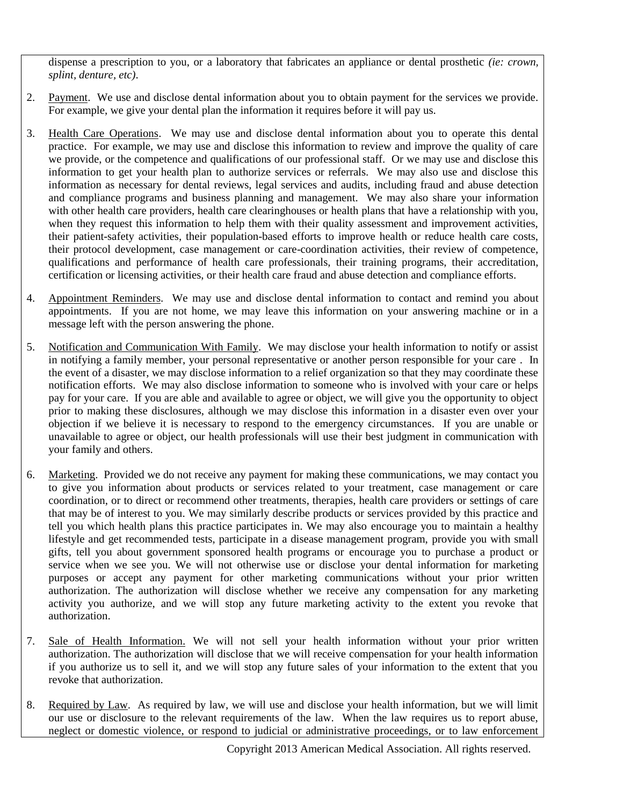dispense a prescription to you, or a laboratory that fabricates an appliance or dental prosthetic *(ie: crown, splint, denture, etc)*.

- 2. Payment. We use and disclose dental information about you to obtain payment for the services we provide. For example, we give your dental plan the information it requires before it will pay us.
- 3. Health Care Operations. We may use and disclose dental information about you to operate this dental practice. For example, we may use and disclose this information to review and improve the quality of care we provide, or the competence and qualifications of our professional staff. Or we may use and disclose this information to get your health plan to authorize services or referrals. We may also use and disclose this information as necessary for dental reviews, legal services and audits, including fraud and abuse detection and compliance programs and business planning and management. We may also share your information with other health care providers, health care clearinghouses or health plans that have a relationship with you, when they request this information to help them with their quality assessment and improvement activities, their patient-safety activities, their population-based efforts to improve health or reduce health care costs, their protocol development, case management or care-coordination activities, their review of competence, qualifications and performance of health care professionals, their training programs, their accreditation, certification or licensing activities, or their health care fraud and abuse detection and compliance efforts.
- 4. Appointment Reminders. We may use and disclose dental information to contact and remind you about appointments. If you are not home, we may leave this information on your answering machine or in a message left with the person answering the phone.
- 5. Notification and Communication With Family. We may disclose your health information to notify or assist in notifying a family member, your personal representative or another person responsible for your care . In the event of a disaster, we may disclose information to a relief organization so that they may coordinate these notification efforts. We may also disclose information to someone who is involved with your care or helps pay for your care. If you are able and available to agree or object, we will give you the opportunity to object prior to making these disclosures, although we may disclose this information in a disaster even over your objection if we believe it is necessary to respond to the emergency circumstances. If you are unable or unavailable to agree or object, our health professionals will use their best judgment in communication with your family and others.
- 6. Marketing. Provided we do not receive any payment for making these communications, we may contact you to give you information about products or services related to your treatment, case management or care coordination, or to direct or recommend other treatments, therapies, health care providers or settings of care that may be of interest to you. We may similarly describe products or services provided by this practice and tell you which health plans this practice participates in. We may also encourage you to maintain a healthy lifestyle and get recommended tests, participate in a disease management program, provide you with small gifts, tell you about government sponsored health programs or encourage you to purchase a product or service when we see you. We will not otherwise use or disclose your dental information for marketing purposes or accept any payment for other marketing communications without your prior written authorization. The authorization will disclose whether we receive any compensation for any marketing activity you authorize, and we will stop any future marketing activity to the extent you revoke that authorization.
- 7. Sale of Health Information. We will not sell your health information without your prior written authorization. The authorization will disclose that we will receive compensation for your health information if you authorize us to sell it, and we will stop any future sales of your information to the extent that you revoke that authorization.
- 8. Required by Law. As required by law, we will use and disclose your health information, but we will limit our use or disclosure to the relevant requirements of the law. When the law requires us to report abuse, neglect or domestic violence, or respond to judicial or administrative proceedings, or to law enforcement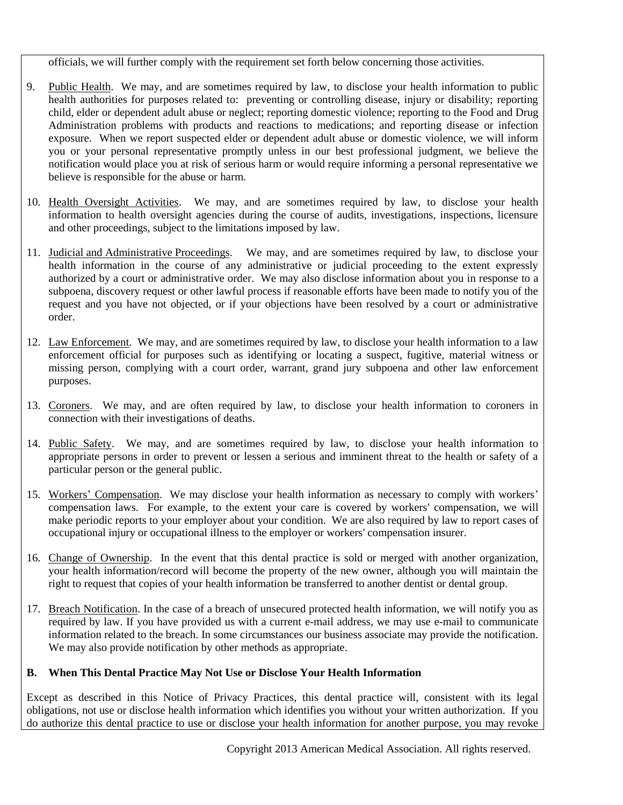officials, we will further comply with the requirement set forth below concerning those activities.

- 9. Public Health. We may, and are sometimes required by law, to disclose your health information to public health authorities for purposes related to: preventing or controlling disease, injury or disability; reporting child, elder or dependent adult abuse or neglect; reporting domestic violence; reporting to the Food and Drug Administration problems with products and reactions to medications; and reporting disease or infection exposure. When we report suspected elder or dependent adult abuse or domestic violence, we will inform you or your personal representative promptly unless in our best professional judgment, we believe the notification would place you at risk of serious harm or would require informing a personal representative we believe is responsible for the abuse or harm.
- 10. Health Oversight Activities. We may, and are sometimes required by law, to disclose your health information to health oversight agencies during the course of audits, investigations, inspections, licensure and other proceedings, subject to the limitations imposed by law.
- 11. Judicial and Administrative Proceedings. We may, and are sometimes required by law, to disclose your health information in the course of any administrative or judicial proceeding to the extent expressly authorized by a court or administrative order. We may also disclose information about you in response to a subpoena, discovery request or other lawful process if reasonable efforts have been made to notify you of the request and you have not objected, or if your objections have been resolved by a court or administrative order.
- 12. Law Enforcement. We may, and are sometimes required by law, to disclose your health information to a law enforcement official for purposes such as identifying or locating a suspect, fugitive, material witness or missing person, complying with a court order, warrant, grand jury subpoena and other law enforcement purposes.
- 13. Coroners. We may, and are often required by law, to disclose your health information to coroners in connection with their investigations of deaths.
- 14. Public Safety. We may, and are sometimes required by law, to disclose your health information to appropriate persons in order to prevent or lessen a serious and imminent threat to the health or safety of a particular person or the general public.
- 15. Workers' Compensation. We may disclose your health information as necessary to comply with workers' compensation laws. For example, to the extent your care is covered by workers' compensation, we will make periodic reports to your employer about your condition. We are also required by law to report cases of occupational injury or occupational illness to the employer or workers' compensation insurer.
- 16. Change of Ownership. In the event that this dental practice is sold or merged with another organization, your health information/record will become the property of the new owner, although you will maintain the right to request that copies of your health information be transferred to another dentist or dental group.
- 17. Breach Notification. In the case of a breach of unsecured protected health information, we will notify you as required by law. If you have provided us with a current e-mail address, we may use e-mail to communicate information related to the breach. In some circumstances our business associate may provide the notification. We may also provide notification by other methods as appropriate.

#### <span id="page-2-0"></span>**B. When This Dental Practice May Not Use or Disclose Your Health Information**

Except as described in this Notice of Privacy Practices, this dental practice will, consistent with its legal obligations, not use or disclose health information which identifies you without your written authorization. If you do authorize this dental practice to use or disclose your health information for another purpose, you may revoke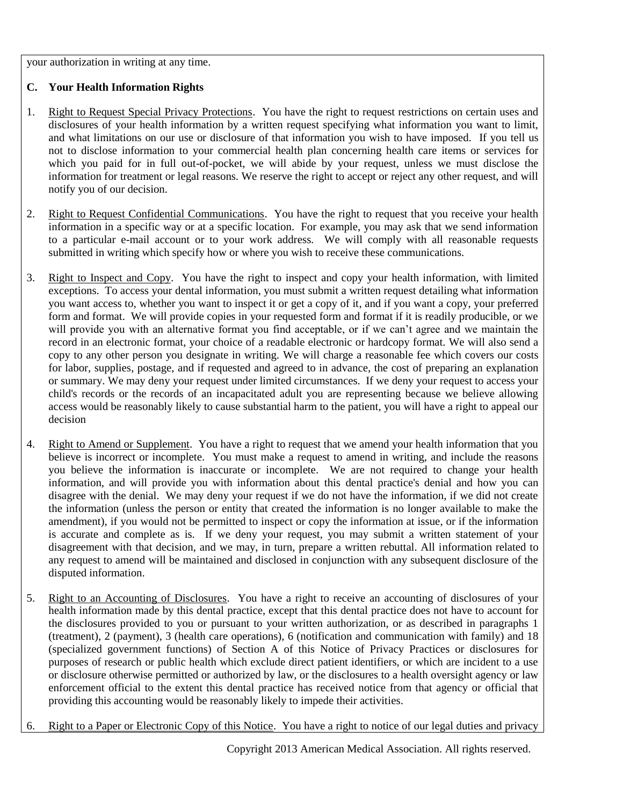your authorization in writing at any time.

# <span id="page-3-0"></span>**C. Your Health Information Rights**

- 1. Right to Request Special Privacy Protections. You have the right to request restrictions on certain uses and disclosures of your health information by a written request specifying what information you want to limit, and what limitations on our use or disclosure of that information you wish to have imposed. If you tell us not to disclose information to your commercial health plan concerning health care items or services for which you paid for in full out-of-pocket, we will abide by your request, unless we must disclose the information for treatment or legal reasons. We reserve the right to accept or reject any other request, and will notify you of our decision.
- 2. Right to Request Confidential Communications. You have the right to request that you receive your health information in a specific way or at a specific location. For example, you may ask that we send information to a particular e-mail account or to your work address. We will comply with all reasonable requests submitted in writing which specify how or where you wish to receive these communications.
- 3. Right to Inspect and Copy. You have the right to inspect and copy your health information, with limited exceptions. To access your dental information, you must submit a written request detailing what information you want access to, whether you want to inspect it or get a copy of it, and if you want a copy, your preferred form and format. We will provide copies in your requested form and format if it is readily producible, or we will provide you with an alternative format you find acceptable, or if we can't agree and we maintain the record in an electronic format, your choice of a readable electronic or hardcopy format. We will also send a copy to any other person you designate in writing. We will charge a reasonable fee which covers our costs for labor, supplies, postage, and if requested and agreed to in advance, the cost of preparing an explanation or summary. We may deny your request under limited circumstances. If we deny your request to access your child's records or the records of an incapacitated adult you are representing because we believe allowing access would be reasonably likely to cause substantial harm to the patient, you will have a right to appeal our decision
- 4. Right to Amend or Supplement. You have a right to request that we amend your health information that you believe is incorrect or incomplete. You must make a request to amend in writing, and include the reasons you believe the information is inaccurate or incomplete. We are not required to change your health information, and will provide you with information about this dental practice's denial and how you can disagree with the denial. We may deny your request if we do not have the information, if we did not create the information (unless the person or entity that created the information is no longer available to make the amendment), if you would not be permitted to inspect or copy the information at issue, or if the information is accurate and complete as is. If we deny your request, you may submit a written statement of your disagreement with that decision, and we may, in turn, prepare a written rebuttal. All information related to any request to amend will be maintained and disclosed in conjunction with any subsequent disclosure of the disputed information.
- 5. Right to an Accounting of Disclosures. You have a right to receive an accounting of disclosures of your health information made by this dental practice, except that this dental practice does not have to account for the disclosures provided to you or pursuant to your written authorization, or as described in paragraphs 1 (treatment), 2 (payment), 3 (health care operations), 6 (notification and communication with family) and 18 (specialized government functions) of Section A of this Notice of Privacy Practices or disclosures for purposes of research or public health which exclude direct patient identifiers, or which are incident to a use or disclosure otherwise permitted or authorized by law, or the disclosures to a health oversight agency or law enforcement official to the extent this dental practice has received notice from that agency or official that providing this accounting would be reasonably likely to impede their activities.
- 6. Right to a Paper or Electronic Copy of this Notice. You have a right to notice of our legal duties and privacy